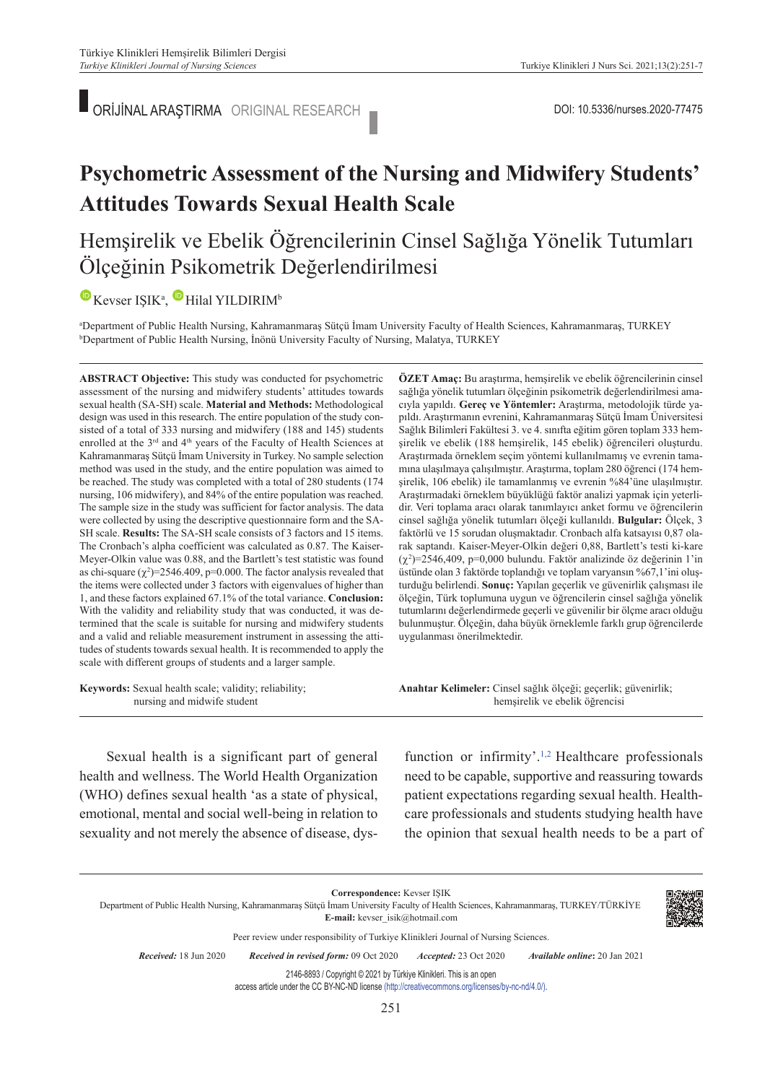ORİJİNAL ARAŞTIRMA ORIGINAL RESEARCH DOI: 10.5336/nurses.2020-77475

# **Psychometric Assessment of the Nursing and Midwifery Students' Attitudes Towards Sexual Health Scale**

### Hemşirelik ve Ebelik Öğrencilerinin Cinsel Sağlığa Yönelik Tutumları Ölçeğinin Psikometrik Değerlendirilmesi

### $\mathbf{W}$ KevserIŞIK<sup>a</sup>, Hilal YILDIRIM<sup>b</sup>

"Department of Public Health Nursing, Kahramanmaraş Sütçü İmam University Faculty of Health Sciences, Kahramanmaraş, TURKEY<br>"Department of Public Health Nursing, İnönü University Faculty of Nursing, Malatya, TURKEY <sup>b</sup>Department of Public Health Nursing, İnönü University Faculty of Nursing, Malatya, TURKEY

**ABS TRACT Objective:** This study was conducted for psychometric assessment of the nursing and midwifery students' attitudes towards sexual health (SA-SH) scale. **Material and Methods:** Methodological design was used in this research. The entire population of the study consisted of a total of 333 nursing and midwifery (188 and 145) students enrolled at the 3<sup>rd</sup> and 4<sup>th</sup> years of the Faculty of Health Sciences at Kahramanmaraş Sütçü İmam University in Turkey. No sample selection method was used in the study, and the entire population was aimed to be reached. The study was completed with a total of 280 students (174 nursing, 106 midwifery), and 84% of the entire population was reached. The sample size in the study was sufficient for factor analysis. The data were collected by using the descriptive questionnaire form and the SA-SH scale. **Results:** The SA-SH scale consists of 3 factors and 15 items. The Cronbach's alpha coefficient was calculated as 0.87. The Kaiser-Meyer-Olkin value was 0.88, and the Bartlett's test statistic was found as chi-square  $(\chi^2)$ =2546.409, p=0.000. The factor analysis revealed that the items were collected under 3 factors with eigenvalues of higher than 1, and these factors explained 67.1% of the total variance. **Conclusion:**  With the validity and reliability study that was conducted, it was determined that the scale is suitable for nursing and midwifery students and a valid and reliable measurement instrument in assessing the attitudes of students towards sexual health. It is recommended to apply the scale with different groups of students and a larger sample.

**Keywords:** Sexual health scale; validity; reliability; nursing and midwife student

**ÖZET Amaç:** Bu araştırma, hemşirelik ve ebelik öğrencilerinin cinsel sağlığa yönelik tutumları ölçeğinin psikometrik değerlendirilmesi amacıyla yapıldı. **Gereç ve Yöntemler:** Araştırma, metodolojik türde yapıldı. Araştırmanın evrenini, Kahramanmaraş Sütçü İmam Üniversitesi Sağlık Bilimleri Fakültesi 3. ve 4. sınıfta eğitim gören toplam 333 hemşirelik ve ebelik (188 hemşirelik, 145 ebelik) öğrencileri oluşturdu. Araştırmada örneklem seçim yöntemi kullanılmamış ve evrenin tamamına ulaşılmaya çalışılmıştır. Araştırma, toplam 280 öğrenci (174 hemşirelik, 106 ebelik) ile tamamlanmış ve evrenin %84'üne ulaşılmıştır. Araştırmadaki örneklem büyüklüğü faktör analizi yapmak için yeterlidir. Veri toplama aracı olarak tanımlayıcı anket formu ve öğrencilerin cinsel sağlığa yönelik tutumları ölçeği kullanıldı. **Bulgular:** Ölçek, 3 faktörlü ve 15 sorudan oluşmaktadır. Cronbach alfa katsayısı 0,87 olarak saptandı. Kaiser-Meyer-Olkin değeri 0,88, Bartlett's testi ki-kare  $(\chi^2)$ =2546,409, p=0,000 bulundu. Faktör analizinde öz değerinin 1'in üstünde olan 3 faktörde toplandığı ve toplam varyansın %67,1'ini oluşturduğu belirlendi. **Sonuç:** Yapılan geçerlik ve güvenirlik çalışması ile ölçeğin, Türk toplumuna uygun ve öğrencilerin cinsel sağlığa yönelik tutumlarını değerlendirmede geçerli ve güvenilir bir ölçme aracı olduğu bulunmuştur. Ölçeğin, daha büyük örneklemle farklı grup öğrencilerde uygulanması önerilmektedir.

Anahtar Kelimeler: Cinsel sağlık ölçeği; geçerlik; güvenirlik; hemşirelik ve ebelik öğrencisi

Sexual health is a significant part of general health and wellness. The World Health Organization (WHO) defines sexual health 'as a state of physical, emotional, mental and social well-being in relation to sexuality and not merely the absence of disease, dys-

function or infirmity'.<sup>1,2</sup> Healthcare professionals need to be capable, supportive and reassuring towards patient expectations regarding sexual health. Healthcare professionals and students studying health have the opinion that sexual health needs to be a part of

**Correspondence:** Kevser IŞIK Department of Public Health Nursing, Kahramanmaraş Sütçü İmam University Faculty of Health Sciences, Kahramanmaraş, TURKEY/TÜRKİYE **E-mail:** kevser\_isik@hotmail.com Peer review under responsibility of Turkiye Klinikleri Journal of Nursing Sciences. *Re ce i ved:* 18 Jun 2020 *Received in revised form:* 09 Oct 2020 *Ac cep ted:* 23 Oct 2020 *Available online***:** 20 Jan 2021 2146-8893 / Copyright © 2021 by Türkiye Klinikleri. This is an open access article under the CC BY-NC-ND license [\(http://creativecommons.org/licenses/by-nc-nd/4.0/\)](https://creativecommons.org/licenses/by-nc-nd/4.0/).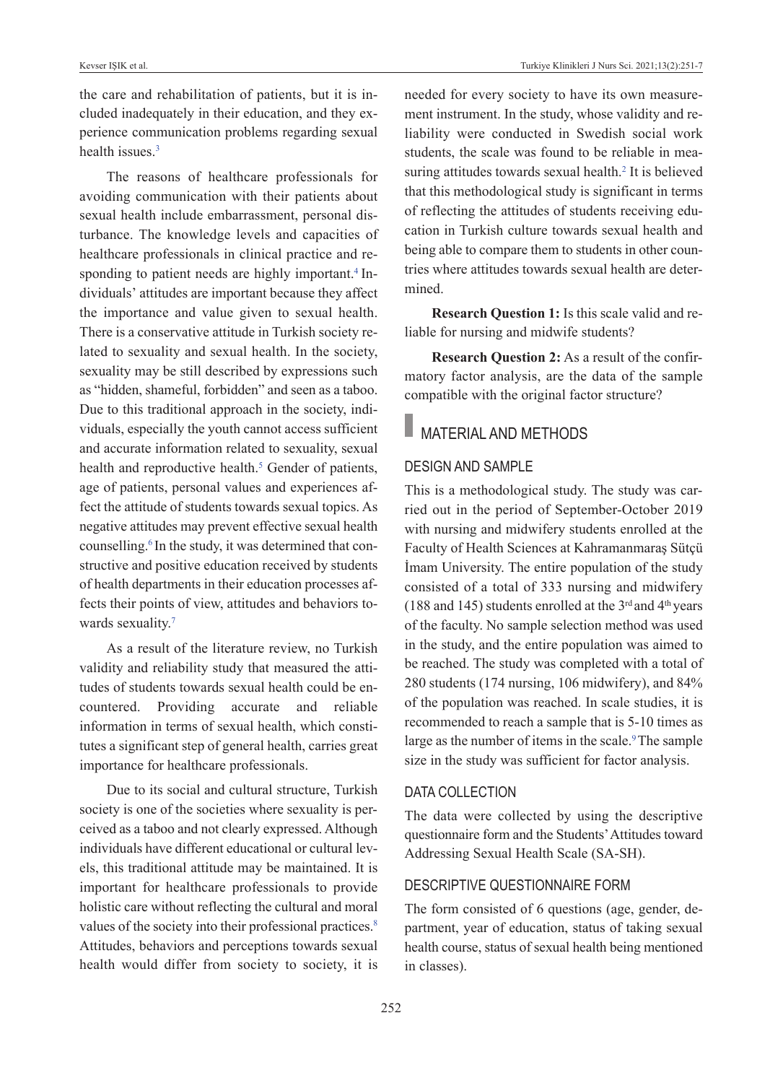the care and rehabilitation of patients, but it is included inadequately in their education, and they experience communication problems regarding sexual health issues.<sup>3</sup>

The reasons of healthcare professionals for avoiding communication with their patients about sexual health include embarrassment, personal disturbance. The knowledge levels and capacities of healthcare professionals in clinical practice and responding to patient needs are highly important.<sup>4</sup> Individuals' attitudes are important because they affect the importance and value given to sexual health. There is a conservative attitude in Turkish society related to sexuality and sexual health. In the society, sexuality may be still described by expressions such as "hidden, shameful, forbidden" and seen as a taboo. Due to this traditional approach in the society, individuals, especially the youth cannot access sufficient and accurate information related to sexuality, sexual health and reproductive health.<sup>5</sup> Gender of patients, age of patients, personal values and experiences affect the attitude of students towards sexual topics. As negative attitudes may prevent effective sexual health counselling.<sup>6</sup> In the study, it was determined that constructive and positive education received by students of health departments in their education processes affects their points of view, attitudes and behaviors towards sexuality.<sup>7</sup>

As a result of the literature review, no Turkish validity and reliability study that measured the attitudes of students towards sexual health could be encountered. Providing accurate and reliable information in terms of sexual health, which constitutes a significant step of general health, carries great importance for healthcare professionals.

Due to its social and cultural structure, Turkish society is one of the societies where sexuality is perceived as a taboo and not clearly expressed. Although individuals have different educational or cultural levels, this traditional attitude may be maintained. It is important for healthcare professionals to provide holistic care without reflecting the cultural and moral values of the society into their professional practices.<sup>8</sup> Attitudes, behaviors and perceptions towards sexual health would differ from society to society, it is needed for every society to have its own measurement instrument. In the study, whose validity and reliability were conducted in Swedish social work students, the scale was found to be reliable in measuring attitudes towards sexual health.<sup>2</sup> It is believed that this methodological study is significant in terms of reflecting the attitudes of students receiving education in Turkish culture towards sexual health and being able to compare them to students in other countries where attitudes towards sexual health are determined.

**Research Question 1:** Is this scale valid and reliable for nursing and midwife students?

**Research Question 2:** As a result of the confirmatory factor analysis, are the data of the sample compatible with the original factor structure?

# **NATERIAL AND METHODS**

#### DESIGN AND SAMPLE

This is a methodological study. The study was carried out in the period of September-October 2019 with nursing and midwifery students enrolled at the Faculty of Health Sciences at Kahramanmaraş Sütçü İmam University. The entire population of the study consisted of a total of 333 nursing and midwifery (188 and 145) students enrolled at the  $3<sup>rd</sup>$  and  $4<sup>th</sup>$  years of the faculty. No sample selection method was used in the study, and the entire population was aimed to be reached. The study was completed with a total of 280 students (174 nursing, 106 midwifery), and 84% of the population was reached. In scale studies, it is recommended to reach a sample that is 5-10 times as large as the number of items in the scale.<sup>9</sup>The sample size in the study was sufficient for factor analysis.

#### DATA COLLECTION

The data were collected by using the descriptive questionnaire form and the Students' Attitudes toward Addressing Sexual Health Scale (SA-SH).

#### DESCRIPTIvE QuESTIONNAIRE FORM

The form consisted of 6 questions (age, gender, department, year of education, status of taking sexual health course, status of sexual health being mentioned in classes).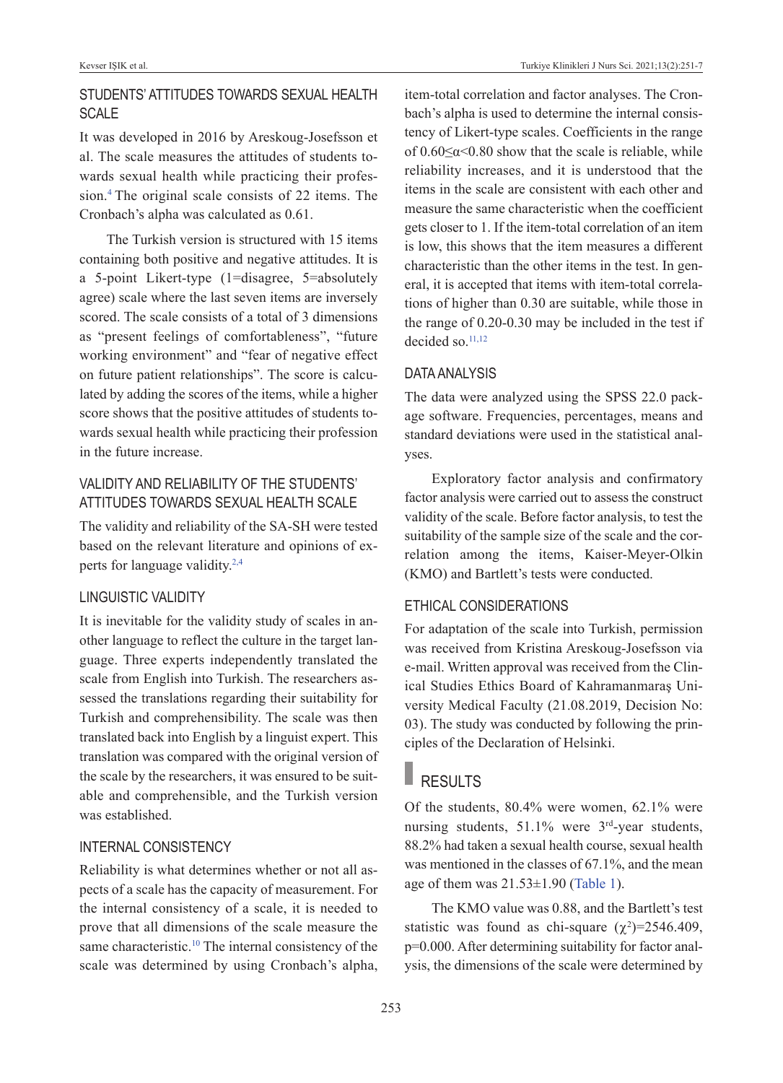### STuDENTS' ATTITuDES TOwARDS SExuAL HEALTH **SCALE**

It was developed in 2016 by Areskoug-Josefsson et al. The scale measures the attitudes of students towards sexual health while practicing their profession[.4](#page-6-0) The original scale consists of 22 items. The Cronbach's alpha was calculated as 0.61.

The Turkish version is structured with 15 items containing both positive and negative attitudes. It is a 5-point Likert-type (1=disagree, 5=absolutely agree) scale where the last seven items are inversely scored. The scale consists of a total of 3 dimensions as "present feelings of comfortableness", "future working environment" and "fear of negative effect on future patient relationships". The score is calculated by adding the scores of the items, while a higher score shows that the positive attitudes of students towards sexual health while practicing their profession in the future increase.

### vALIDITY AND RELIABILITY OF THE STuDENTS' ATTITuDES TOwARDS SExuAL HEALTH SCALE

The validity and reliability of the SA-SH were tested based on the relevant literature and opinions of experts for language validity[.2,4](#page-6-0)

### LINGuISTIC vALIDITY

It is inevitable for the validity study of scales in another language to reflect the culture in the target language. Three experts independently translated the scale from English into Turkish. The researchers assessed the translations regarding their suitability for Turkish and comprehensibility. The scale was then translated back into English by a linguist expert. This translation was compared with the original version of the scale by the researchers, it was ensured to be suitable and comprehensible, and the Turkish version was established.

### INTERNAL CONSISTENCY

Reliability is what determines whether or not all aspects of a scale has the capacity of measurement. For the internal consistency of a scale, it is needed to prove that all dimensions of the scale measure the same characteristic.<sup>10</sup> The internal consistency of the scale was determined by using Cronbach's alpha, item-total correlation and factor analyses. The Cronbach's alpha is used to determine the internal consistency of Likert-type scales. Coefficients in the range of  $0.60 \le \alpha \le 0.80$  show that the scale is reliable, while reliability increases, and it is understood that the items in the scale are consistent with each other and measure the same characteristic when the coefficient gets closer to 1. If the item-total correlation of an item is low, this shows that the item measures a different characteristic than the other items in the test. In general, it is accepted that items with item-total correlations of higher than 0.30 are suitable, while those in the range of 0.20-0.30 may be included in the test if decided so.<sup>11,12</sup>

#### DATA ANALYSIS

The data were analyzed using the SPSS 22.0 package software. Frequencies, percentages, means and standard deviations were used in the statistical analyses.

Exploratory factor analysis and confirmatory factor analysis were carried out to assess the construct validity of the scale. Before factor analysis, to test the suitability of the sample size of the scale and the correlation among the items, Kaiser-Meyer-Olkin (KMO) and Bartlett's tests were conducted.

#### ETHICAL CONSIDERATIONS

For adaptation of the scale into Turkish, permission was received from Kristina Areskoug-Josefsson via e-mail. Written approval was received from the Clinical Studies Ethics Board of Kahramanmaraş University Medical Faculty (21.08.2019, Decision No: 03). The study was conducted by following the principles of the Declaration of Helsinki.

# RESULTS

Of the students, 80.4% were women, 62.1% were nursing students, 51.1% were 3<sup>rd</sup>-year students, 88.2% had taken a sexual health course, sexual health was mentioned in the classes of 67.1%, and the mean age of them was  $21.53\pm1.90$  [\(Table 1\)](#page-3-0).

The KMO value was 0.88, and the Bartlett's test statistic was found as chi-square  $(\chi^2)$ =2546.409, p=0.000. After determining suitability for factor analysis, the dimensions of the scale were determined by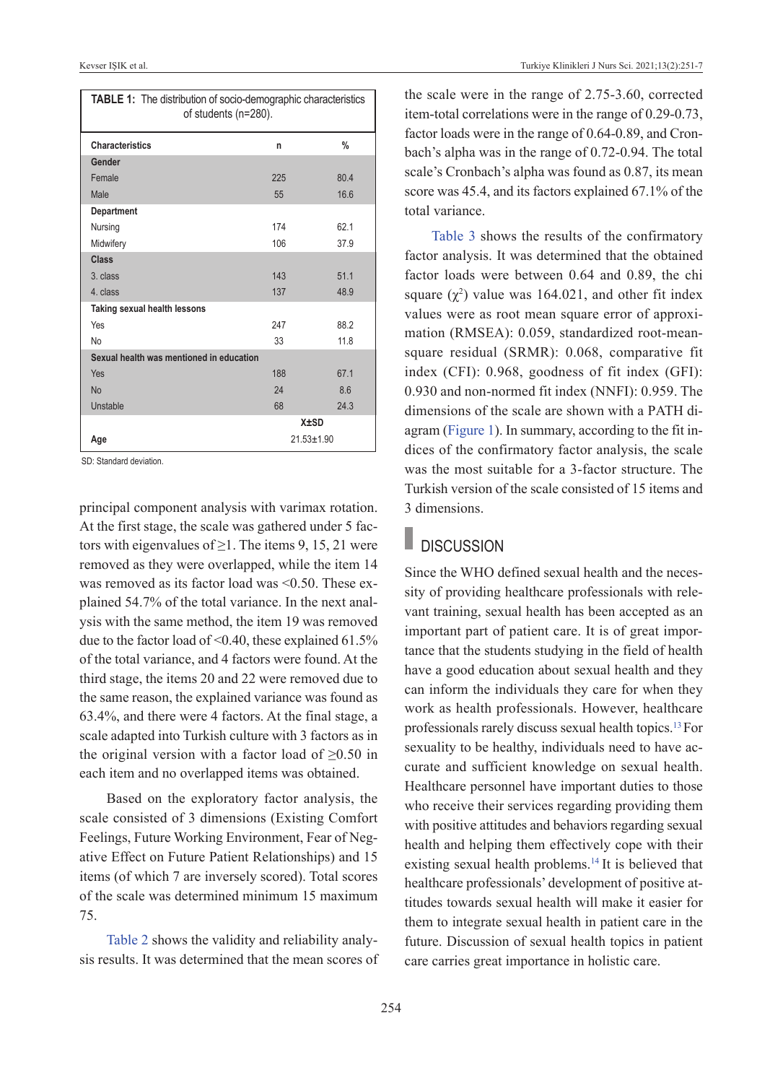| TABLE 1: The distribution of socio-demographic characteristics<br>of students (n=280). |                |               |  |  |  |  |
|----------------------------------------------------------------------------------------|----------------|---------------|--|--|--|--|
| <b>Characteristics</b>                                                                 | n              | $\frac{0}{0}$ |  |  |  |  |
| Gender                                                                                 |                |               |  |  |  |  |
| Female                                                                                 | 225            | 80.4          |  |  |  |  |
| Male                                                                                   | 55             | 16.6          |  |  |  |  |
| Department                                                                             |                |               |  |  |  |  |
| Nursing                                                                                | 174            | 621           |  |  |  |  |
| Midwifery                                                                              | 106            | 37.9          |  |  |  |  |
| Class                                                                                  |                |               |  |  |  |  |
| 3. class                                                                               | 143            | 511           |  |  |  |  |
| 4. class                                                                               | 137            | 48.9          |  |  |  |  |
| Taking sexual health lessons                                                           |                |               |  |  |  |  |
| Yes                                                                                    | 247            | 88.2          |  |  |  |  |
| <b>No</b>                                                                              | 33             | 11.8          |  |  |  |  |
| Sexual health was mentioned in education                                               |                |               |  |  |  |  |
| Yes                                                                                    | 188            | 67.1          |  |  |  |  |
| <b>No</b>                                                                              | 24             | 8.6           |  |  |  |  |
| Unstable                                                                               | 68             | 24 3          |  |  |  |  |
|                                                                                        |                | <b>X</b> ±SD  |  |  |  |  |
| Age                                                                                    | $21.53 + 1.90$ |               |  |  |  |  |

SD: Standard deviation.

principal component analysis with varimax rotation. At the first stage, the scale was gathered under 5 factors with eigenvalues of  $\geq$ 1. The items 9, 15, 21 were removed as they were overlapped, while the item 14 was removed as its factor load was <0.50. These explained 54.7% of the total variance. In the next analysis with the same method, the item 19 was removed due to the factor load of <0.40, these explained 61.5% of the total variance, and 4 factors were found. At the third stage, the items 20 and 22 were removed due to the same reason, the explained variance was found as 63.4%, and there were 4 factors. At the final stage, a scale adapted into Turkish culture with 3 factors as in the original version with a factor load of  $\geq 0.50$  in each item and no overlapped items was obtained.

Based on the exploratory factor analysis, the scale consisted of 3 dimensions (Existing Comfort Feelings, Future Working Environment, Fear of Negative Effect on Future Patient Relationships) and 15 items (of which 7 are inversely scored). Total scores of the scale was determined minimum 15 maximum 75.

[Table 2](#page-4-0) shows the validity and reliability analysis results. It was determined that the mean scores of <span id="page-3-0"></span>the scale were in the range of 2.75-3.60, corrected item-total correlations were in the range of 0.29-0.73, factor loads were in the range of 0.64-0.89, and Cronbach's alpha was in the range of 0.72-0.94. The total scale's Cronbach's alpha was found as 0.87, its mean score was 45.4, and its factors explained 67.1% of the total variance.

[Table 3](#page-5-0) shows the results of the confirmatory factor analysis. It was determined that the obtained factor loads were between 0.64 and 0.89, the chi square  $(\chi^2)$  value was 164.021, and other fit index values were as root mean square error of approximation (RMSEA): 0.059, standardized root-meansquare residual (SRMR): 0.068, comparative fit index (CFI): 0.968, goodness of fit index (GFI): 0.930 and non-normed fit index (NNFI): 0.959. The dimensions of the scale are shown with a PATH diagram [\(Figure 1\)](#page-5-1). In summary, according to the fit indices of the confirmatory factor analysis, the scale was the most suitable for a 3-factor structure. The Turkish version of the scale consisted of 15 items and 3 dimensions.

## **DISCUSSION**

Since the WHO defined sexual health and the necessity of providing healthcare professionals with relevant training, sexual health has been accepted as an important part of patient care. It is of great importance that the students studying in the field of health have a good education about sexual health and they can inform the individuals they care for when they work as health professionals. However, healthcare professionals rarely discuss sexual health topics[.13](#page-6-0)For sexuality to be healthy, individuals need to have accurate and sufficient knowledge on sexual health. Healthcare personnel have important duties to those who receive their services regarding providing them with positive attitudes and behaviors regarding sexual health and helping them effectively cope with their existing sexual health problems[.14](#page-6-0) It is believed that healthcare professionals' development of positive attitudes towards sexual health will make it easier for them to integrate sexual health in patient care in the future. Discussion of sexual health topics in patient care carries great importance in holistic care.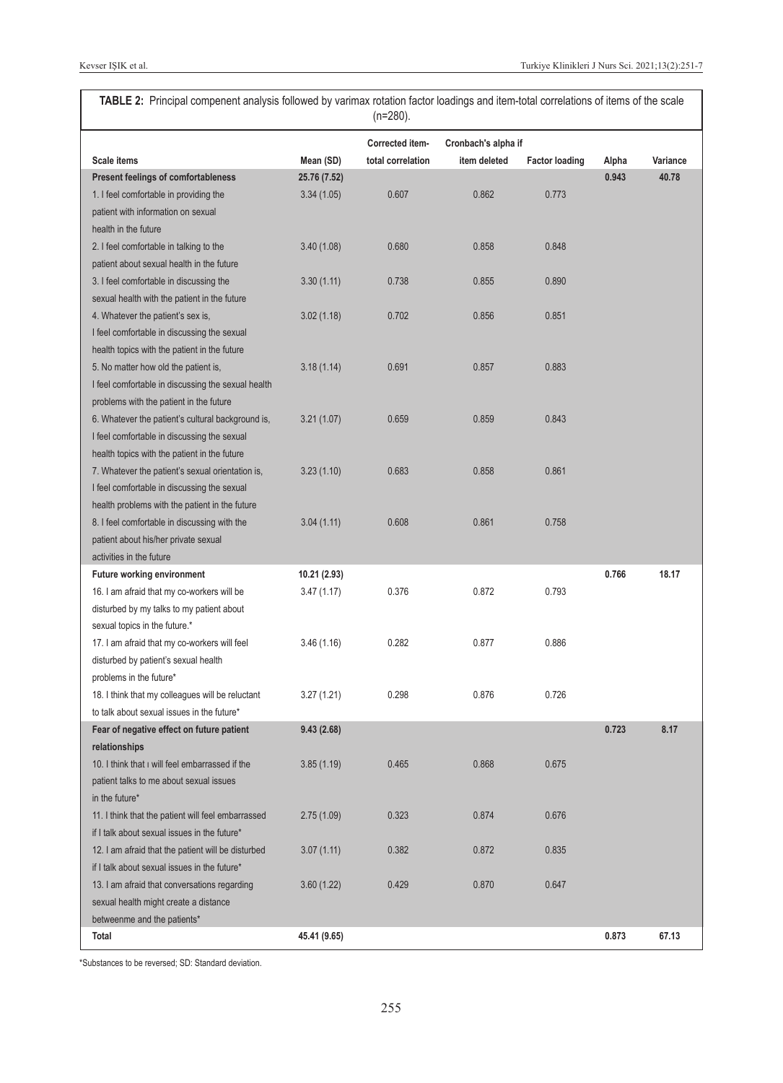<span id="page-4-0"></span>**TABLE 2:** Principal compenent analysis followed by varimax rotation factor loadings and item-total correlations of items of the scale (n=280).

|                                                    |              | Corrected item-   | Cronbach's alpha if |                       |       |          |
|----------------------------------------------------|--------------|-------------------|---------------------|-----------------------|-------|----------|
| Scale items                                        | Mean (SD)    | total correlation | item deleted        | <b>Factor loading</b> | Alpha | Variance |
| <b>Present feelings of comfortableness</b>         | 25.76 (7.52) |                   |                     |                       | 0.943 | 40.78    |
| 1. I feel comfortable in providing the             | 3.34(1.05)   | 0.607             | 0.862               | 0.773                 |       |          |
| patient with information on sexual                 |              |                   |                     |                       |       |          |
| health in the future                               |              |                   |                     |                       |       |          |
| 2. I feel comfortable in talking to the            | 3.40(1.08)   | 0.680             | 0.858               | 0.848                 |       |          |
| patient about sexual health in the future          |              |                   |                     |                       |       |          |
| 3. I feel comfortable in discussing the            | 3.30(1.11)   | 0.738             | 0.855               | 0.890                 |       |          |
| sexual health with the patient in the future       |              |                   |                     |                       |       |          |
| 4. Whatever the patient's sex is,                  | 3.02(1.18)   | 0.702             | 0.856               | 0.851                 |       |          |
| I feel comfortable in discussing the sexual        |              |                   |                     |                       |       |          |
| health topics with the patient in the future       |              |                   |                     |                       |       |          |
| 5. No matter how old the patient is,               | 3.18(1.14)   | 0.691             | 0.857               | 0.883                 |       |          |
| I feel comfortable in discussing the sexual health |              |                   |                     |                       |       |          |
| problems with the patient in the future            |              |                   |                     |                       |       |          |
| 6. Whatever the patient's cultural background is,  | 3.21(1.07)   | 0.659             | 0.859               | 0.843                 |       |          |
| I feel comfortable in discussing the sexual        |              |                   |                     |                       |       |          |
| health topics with the patient in the future       |              |                   |                     |                       |       |          |
| 7. Whatever the patient's sexual orientation is,   | 3.23(1.10)   | 0.683             | 0.858               | 0.861                 |       |          |
| I feel comfortable in discussing the sexual        |              |                   |                     |                       |       |          |
| health problems with the patient in the future     |              |                   |                     |                       |       |          |
| 8. I feel comfortable in discussing with the       | 3.04(1.11)   | 0.608             | 0.861               | 0.758                 |       |          |
| patient about his/her private sexual               |              |                   |                     |                       |       |          |
| activities in the future                           |              |                   |                     |                       |       |          |
| <b>Future working environment</b>                  | 10.21 (2.93) |                   |                     |                       | 0.766 | 18.17    |
| 16. I am afraid that my co-workers will be         | 3.47(1.17)   | 0.376             | 0.872               | 0.793                 |       |          |
| disturbed by my talks to my patient about          |              |                   |                     |                       |       |          |
| sexual topics in the future.*                      |              |                   |                     |                       |       |          |
| 17. I am afraid that my co-workers will feel       | 3.46(1.16)   | 0.282             | 0.877               | 0.886                 |       |          |
| disturbed by patient's sexual health               |              |                   |                     |                       |       |          |
| problems in the future*                            |              |                   |                     |                       |       |          |
| 18. I think that my colleagues will be reluctant   | 3.27 (1.21)  | 0.298             | 0.876               | 0.726                 |       |          |
| to talk about sexual issues in the future*         |              |                   |                     |                       |       |          |
| Fear of negative effect on future patient          | 9.43(2.68)   |                   |                     |                       | 0.723 | 8.17     |
| relationships                                      |              |                   |                     |                       |       |          |
| 10. I think that I will feel embarrassed if the    | 3.85(1.19)   | 0.465             | 0.868               | 0.675                 |       |          |
| patient talks to me about sexual issues            |              |                   |                     |                       |       |          |
| in the future*                                     |              |                   |                     |                       |       |          |
| 11. I think that the patient will feel embarrassed | 2.75(1.09)   | 0.323             | 0.874               | 0.676                 |       |          |
| if I talk about sexual issues in the future*       |              |                   |                     |                       |       |          |
| 12. I am afraid that the patient will be disturbed | 3.07(1.11)   | 0.382             | 0.872               | 0.835                 |       |          |
| if I talk about sexual issues in the future*       |              |                   |                     |                       |       |          |
| 13. I am afraid that conversations regarding       | 3.60(1.22)   | 0.429             | 0.870               | 0.647                 |       |          |
| sexual health might create a distance              |              |                   |                     |                       |       |          |
| betweenme and the patients*                        |              |                   |                     |                       |       |          |
| Total                                              | 45.41 (9.65) |                   |                     |                       | 0.873 | 67.13    |

\*Substances to be reversed; SD: Standard deviation.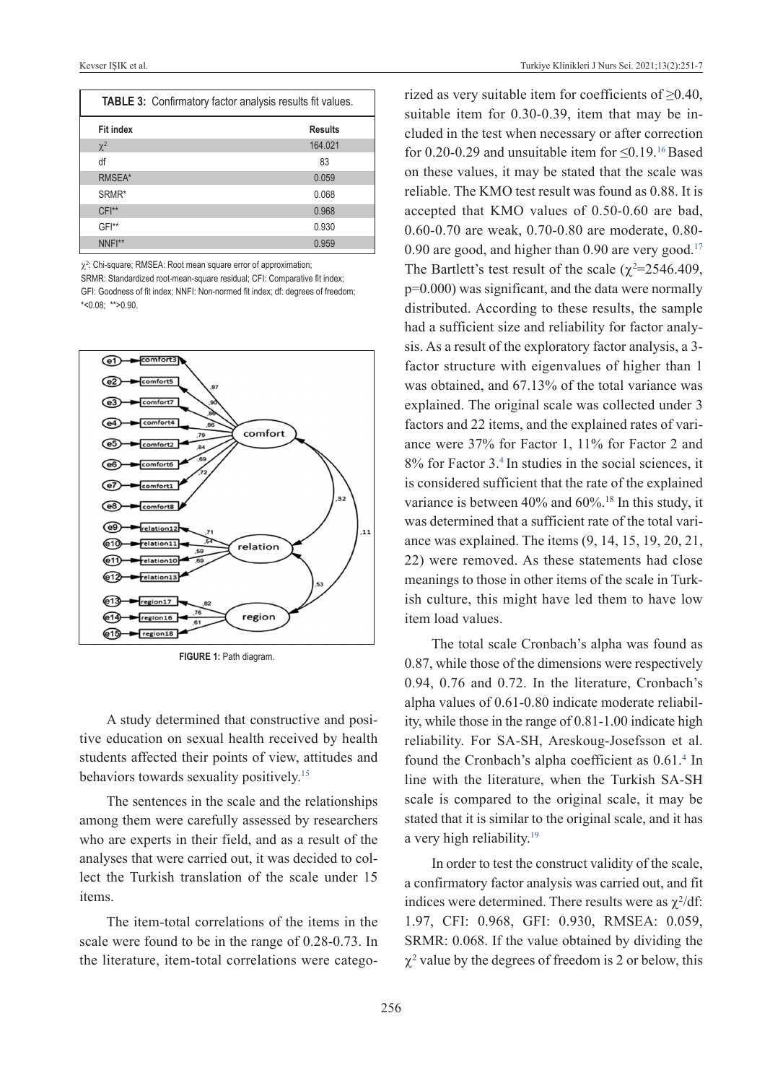| <b>TABLE 3:</b> Confirmatory factor analysis results fit values. |                |  |  |  |
|------------------------------------------------------------------|----------------|--|--|--|
| <b>Fit index</b>                                                 | <b>Results</b> |  |  |  |
| $\chi^2$                                                         | 164.021        |  |  |  |
| df                                                               | 83             |  |  |  |
| RMSEA*                                                           | 0.059          |  |  |  |
| SRMR*                                                            | 0.068          |  |  |  |
| $CFI**$                                                          | 0.968          |  |  |  |
| GFI**                                                            | 0.930          |  |  |  |
| NNF <sup>**</sup>                                                | 0.959          |  |  |  |

 $\chi^2$ : Chi-square; RMSEA: Root mean square error of approximation;

SRMR: Standardized root-mean-square residual; CFI: Comparative fit index; GFI: Goodness of fit index; NNFI: Non-normed fit index; df: degrees of freedom;  $*$ <0.08; \*\*>0.90



**FIGURE 1:** Path diagram.

A study determined that constructive and positive education on sexual health received by health students affected their points of view, attitudes and behaviors towards sexuality positively[.15](#page-6-0)

The sentences in the scale and the relationships among them were carefully assessed by researchers who are experts in their field, and as a result of the analyses that were carried out, it was decided to collect the Turkish translation of the scale under 15 items.

The item-total correlations of the items in the scale were found to be in the range of 0.28-0.73. In the literature, item-total correlations were catego<span id="page-5-0"></span>rized as very suitable item for coefficients of  $\geq 0.40$ , suitable item for 0.30-0.39, item that may be included in the test when necessary or after correction for 0.20-0.29 and unsuitable item for  $\leq 0.19$ .<sup>16</sup> Based on these values, it may be stated that the scale was reliable. The KMO test result was found as 0.88. It is accepted that KMO values of 0.50-0.60 are bad, 0.60-0.70 are weak, 0.70-0.80 are moderate, 0.80- 0.90 are good, and higher than 0.90 are very good. $17$ The Bartlett's test result of the scale ( $\chi^2$ =2546.409, p=0.000) was significant, and the data were normally distributed. According to these results, the sample had a sufficient size and reliability for factor analysis. As a result of the exploratory factor analysis, a 3 factor structure with eigenvalues of higher than 1 was obtained, and 67.13% of the total variance was explained. The original scale was collected under 3 factors and 22 items, and the explained rates of variance were 37% for Factor 1, 11% for Factor 2 and 8% for Factor 3[.4](#page-6-0) In studies in the social sciences, it is considered sufficient that the rate of the explained variance is between 40% and 60%.18 In this study, it was determined that a sufficient rate of the total variance was explained. The items (9, 14, 15, 19, 20, 21, 22) were removed. As these statements had close meanings to those in other items of the scale in Turkish culture, this might have led them to have low item load values.

<span id="page-5-1"></span>The total scale Cronbach's alpha was found as 0.87, while those of the dimensions were respectively 0.94, 0.76 and 0.72. In the literature, Cronbach's alpha values of 0.61-0.80 indicate moderate reliability, while those in the range of 0.81-1.00 indicate high reliability. For SA-SH, Areskoug-Josefsson et al. found the Cronbach's alpha coefficient as  $0.61$ .<sup>4</sup> In line with the literature, when the Turkish SA-SH scale is compared to the original scale, it may be stated that it is similar to the original scale, and it has a very high reliability[.19](#page-6-0)

In order to test the construct validity of the scale, a confirmatory factor analysis was carried out, and fit indices were determined. There results were as  $\chi^2/df$ : 1.97, CFI: 0.968, GFI: 0.930, RMSEA: 0.059, SRMR: 0.068. If the value obtained by dividing the  $\chi^2$  value by the degrees of freedom is 2 or below, this